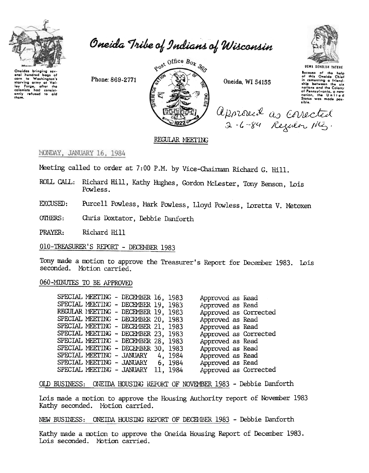

Oneida Tribe of Indians of Wisconsin

Onoidas bringing sov aral hundred bags of aral hundred bags of<br>corn to Washington's<br>starving army at Valley Forge, after the<br>colonists had consist-<br>only refused to aid<br>them.

Phone: 869-2771



Oneida, WI 54155

Approved as corrected



Because of the help<br>of this Oneida Chief<br>in cementing a friend-<br>ship between the six nations and the Calony of Pennsylvania, a new<br>nation, the United<br>States was made pos-

## REGULAR MEETING

MONDAY, JANUARY 16, 1984

Meeting called to order at 7:00 P.M. by Vice-Chairman Richard G. Hill.

ROLL CALL: Richard Hill, Kathy Hughes, Gordon McLester, Tony Benson, Lois Powless.

Purcell Powless, Mark Powless, Lloyd Powless, Loretta V. Metoxen. EXCUSED:

**OTHERS:** Chris Doxtator, Debbie Danforth

PRAYER: Richard Hill

010-TREASURER'S REPORT - DECEMBER 1983

Tony made a motion to approve the Treasurer's Report for December 1983. Lois seconded. Motion carried.

## 060-MINUTES TO BE APPROVED

| SPECIAL MEETING - DECEMBER 16, 1983 |  |          | Approved as Read |                       |
|-------------------------------------|--|----------|------------------|-----------------------|
| SPECIAL MEETING - DECEMBER 19, 1983 |  |          | Approved as Read |                       |
| REGULAR MEETING - DECEMBER 19, 1983 |  |          |                  | Approved as Corrected |
| SPECIAL MEETING - DECEMBER 20, 1983 |  |          | Approved as Read |                       |
| SPECIAL MEETING - DECEMBER 21, 1983 |  |          | Approved as Read |                       |
| SPECIAL MEETING - DECEMBER 23, 1983 |  |          |                  | Approved as Corrected |
| SPECIAL MEETING - DECEMBER 28, 1983 |  |          | Approved as Read |                       |
| SPECIAL MEETING - DECEMBER 30, 1983 |  |          | Approved as Read |                       |
| SPECIAL MEETING - JANUARY 4, 1984   |  |          | Approved as Read |                       |
| SPECIAL MEETING - JANUARY 6, 1984   |  |          | Approved as Read |                       |
| SPECIAL MEETING - JANUARY           |  | 11, 1984 |                  | Approved as Corrected |

OLD BUSINESS: ONEIDA HOUSING REPORT OF NOVEMBER 1983 - Debbie Danforth

Lois made a motion to approve the Housing Authority report of November 1983 Kathy seconded. Motion carried.

NEW BUSINESS: ONEIDA HOUSING REPORT OF DECEMBER 1983 - Debbie Danforth

Kathy made a motion to approve the Oneida Housing Report of December 1983. Lois seconded. Motion carried.